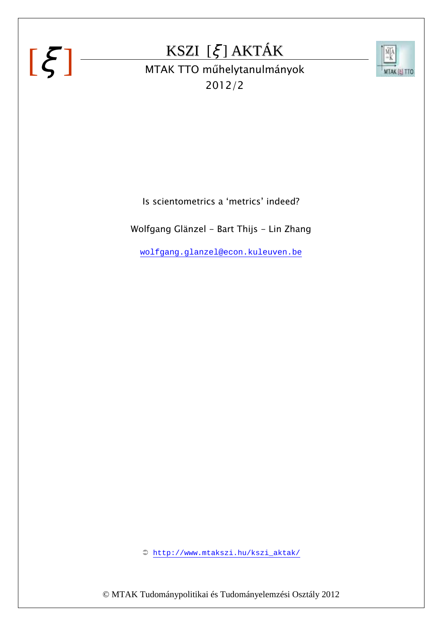# KSZI [ξ ] AKTÁK



 $\left[\xi\right]$  MTAK TTO műhelytanulmányok 2012/2

Is scientometrics a 'metrics' indeed?

Wolfgang Glänzel - Bart Thijs - Lin Zhang

wolfgang.glanzel@econ.kuleuven.be

http://www.mtakszi.hu/kszi\_aktak/

© MTAK Tudománypolitikai és Tudományelemzési Osztály 2012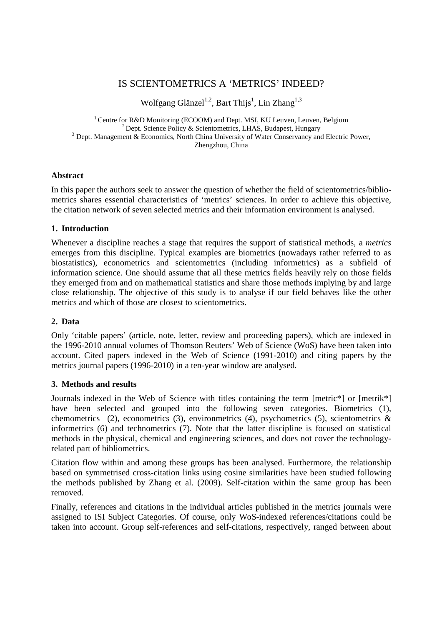## IS SCIENTOMETRICS A 'METRICS' INDEED?

Wolfgang Glänzel<sup>1,2</sup>, Bart Thijs<sup>1</sup>, Lin Zhang<sup>1,3</sup>

<sup>1</sup> Centre for R&D Monitoring (ECOOM) and Dept. MSI, KU Leuven, Leuven, Belgium <sup>2</sup> Dept. Science Policy & Scientometrics, LHAS, Budapest, Hungary <sup>3</sup> Dept. Management & Economics, North China University of Water Conservancy and Electric Power, Zhengzhou, China

#### **Abstract**

In this paper the authors seek to answer the question of whether the field of scientometrics/bibliometrics shares essential characteristics of 'metrics' sciences. In order to achieve this objective, the citation network of seven selected metrics and their information environment is analysed.

#### **1. Introduction**

Whenever a discipline reaches a stage that requires the support of statistical methods, a *metrics* emerges from this discipline. Typical examples are biometrics (nowadays rather referred to as biostatistics), econometrics and scientometrics (including informetrics) as a subfield of information science. One should assume that all these metrics fields heavily rely on those fields they emerged from and on mathematical statistics and share those methods implying by and large close relationship. The objective of this study is to analyse if our field behaves like the other metrics and which of those are closest to scientometrics.

#### **2. Data**

Only 'citable papers' (article, note, letter, review and proceeding papers), which are indexed in the 1996-2010 annual volumes of Thomson Reuters' Web of Science (WoS) have been taken into account. Cited papers indexed in the Web of Science (1991-2010) and citing papers by the metrics journal papers (1996-2010) in a ten-year window are analysed.

#### **3. Methods and results**

Journals indexed in the Web of Science with titles containing the term [metric\*] or [metrik\*] have been selected and grouped into the following seven categories. Biometrics (1), chemometrics (2), econometrics (3), environmetrics (4), psychometrics (5), scientometrics  $\&$ informetrics (6) and technometrics (7). Note that the latter discipline is focused on statistical methods in the physical, chemical and engineering sciences, and does not cover the technologyrelated part of bibliometrics.

Citation flow within and among these groups has been analysed. Furthermore, the relationship based on symmetrised cross-citation links using cosine similarities have been studied following the methods published by Zhang et al. (2009). Self-citation within the same group has been removed.

Finally, references and citations in the individual articles published in the metrics journals were assigned to ISI Subject Categories. Of course, only WoS-indexed references/citations could be taken into account. Group self-references and self-citations, respectively, ranged between about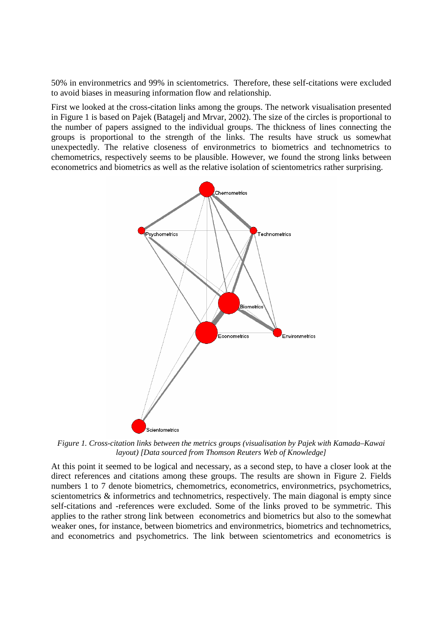50% in environmetrics and 99% in scientometrics. Therefore, these self-citations were excluded to avoid biases in measuring information flow and relationship.

First we looked at the cross-citation links among the groups. The network visualisation presented in Figure 1 is based on Pajek (Batagelj and Mrvar, 2002). The size of the circles is proportional to the number of papers assigned to the individual groups. The thickness of lines connecting the groups is proportional to the strength of the links. The results have struck us somewhat unexpectedly. The relative closeness of environmetrics to biometrics and technometrics to chemometrics, respectively seems to be plausible. However, we found the strong links between econometrics and biometrics as well as the relative isolation of scientometrics rather surprising.



*Figure 1. Cross-citation links between the metrics groups (visualisation by Pajek with Kamada–Kawai layout) [Data sourced from Thomson Reuters Web of Knowledge]* 

At this point it seemed to be logical and necessary, as a second step, to have a closer look at the direct references and citations among these groups. The results are shown in Figure 2. Fields numbers 1 to 7 denote biometrics, chemometrics, econometrics, environmetrics, psychometrics, scientometrics & informetrics and technometrics, respectively. The main diagonal is empty since self-citations and -references were excluded. Some of the links proved to be symmetric. This applies to the rather strong link between econometrics and biometrics but also to the somewhat weaker ones, for instance, between biometrics and environmetrics, biometrics and technometrics, and econometrics and psychometrics. The link between scientometrics and econometrics is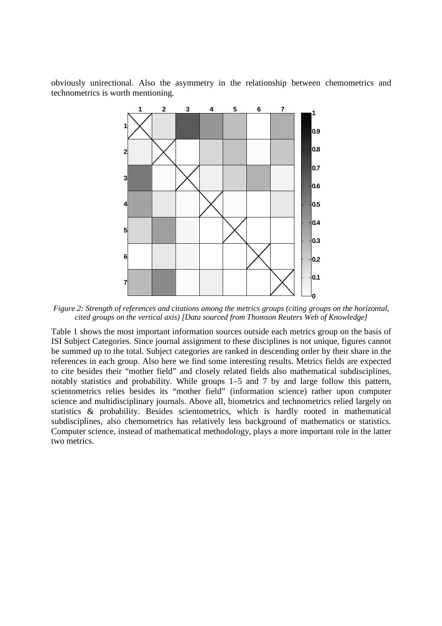obviously unirectional. Also the asymmetry in the relationship between chemometrics and technometrics is worth mentioning.



*Figure 2: Strength of references and citations among the metrics groups (citing groups on the horizontal, cited groups on the vertical axis) [Data sourced from Thomson Reuters Web of Knowledge]* 

Table 1 shows the most important information sources outside each metrics group on the basis of ISI Subject Categories. Since journal assignment to these disciplines is not unique, figures cannot be summed up to the total. Subject categories are ranked in descending order by their share in the references in each group. Also here we find some interesting results. Metrics fields are expected to cite besides their "mother field" and closely related fields also mathematical subdisciplines, notably statistics and probability. While groups 1–5 and 7 by and large follow this pattern, scientometrics relies besides its "mother field" (information science) rather upon computer science and multidisciplinary journals. Above all, biometrics and technometrics relied largely on statistics & probability. Besides scientometrics, which is hardly rooted in mathematical subdisciplines, also chemometrics has relatively less background of mathematics or statistics. Computer science, instead of mathematical methodology, plays a more important role in the latter two metrics.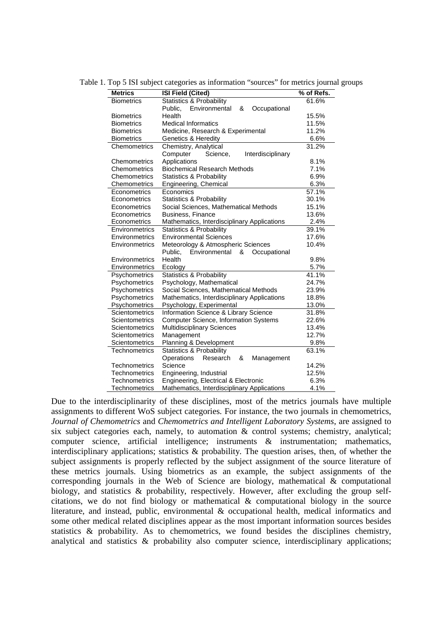| <b>Metrics</b>       | <b>ISI Field (Cited)</b>                      | % of Refs. |
|----------------------|-----------------------------------------------|------------|
| <b>Biometrics</b>    | <b>Statistics &amp; Probability</b>           | 61.6%      |
|                      | Environmental<br>Public,<br>&<br>Occupational |            |
| <b>Biometrics</b>    | Health                                        | 15.5%      |
| <b>Biometrics</b>    | <b>Medical Informatics</b>                    | 11.5%      |
| <b>Biometrics</b>    | Medicine, Research & Experimental             | 11.2%      |
| <b>Biometrics</b>    | Genetics & Heredity                           | 6.6%       |
| Chemometrics         | Chemistry, Analytical                         | 31.2%      |
|                      | Computer<br>Interdisciplinary<br>Science,     |            |
| Chemometrics         | Applications                                  | 8.1%       |
| Chemometrics         | <b>Biochemical Research Methods</b>           | 7.1%       |
| Chemometrics         | <b>Statistics &amp; Probability</b>           | 6.9%       |
| Chemometrics         | Engineering, Chemical                         | 6.3%       |
| Econometrics         | Economics                                     | 57.1%      |
| Econometrics         | <b>Statistics &amp; Probability</b>           | 30.1%      |
| Econometrics         | Social Sciences, Mathematical Methods         | 15.1%      |
| Econometrics         | <b>Business, Finance</b>                      | 13.6%      |
| Econometrics         | Mathematics, Interdisciplinary Applications   | 2.4%       |
| Environmetrics       | <b>Statistics &amp; Probability</b>           | 39.1%      |
| Environmetrics       | <b>Environmental Sciences</b>                 | 17.6%      |
| Environmetrics       | Meteorology & Atmospheric Sciences            | 10.4%      |
|                      | Public,<br>Environmental<br>&<br>Occupational |            |
| Environmetrics       | Health                                        | 9.8%       |
| Environmetrics       | Ecology                                       | 5.7%       |
| Psychometrics        | <b>Statistics &amp; Probability</b>           | 41.1%      |
| Psychometrics        | Psychology, Mathematical                      | 24.7%      |
| Psychometrics        | Social Sciences, Mathematical Methods         | 23.9%      |
| Psychometrics        | Mathematics, Interdisciplinary Applications   | 18.8%      |
| Psychometrics        | Psychology, Experimental                      | 13.0%      |
| Scientometrics       | Information Science & Library Science         | 31.8%      |
| Scientometrics       | <b>Computer Science, Information Systems</b>  | 22.6%      |
| Scientometrics       | <b>Multidisciplinary Sciences</b>             | 13.4%      |
| Scientometrics       | Management                                    | 12.7%      |
| Scientometrics       | Planning & Development                        | 9.8%       |
| <b>Technometrics</b> | Statistics & Probability                      | 63.1%      |
|                      | Operations<br>Research<br>&<br>Management     |            |
| <b>Technometrics</b> | Science                                       | 14.2%      |
| <b>Technometrics</b> | Engineering, Industrial                       | 12.5%      |
| Technometrics        | Engineering, Electrical & Electronic          | 6.3%       |
| Technometrics        | Mathematics, Interdisciplinary Applications   | 4.1%       |

Table 1. Top 5 ISI subject categories as information "sources" for metrics journal groups

Due to the interdisciplinarity of these disciplines, most of the metrics journals have multiple assignments to different WoS subject categories. For instance, the two journals in chemometrics, *Journal of Chemometrics* and *Chemometrics and Intelligent Laboratory Systems*, are assigned to six subject categories each, namely, to automation  $\&$  control systems; chemistry, analytical; computer science, artificial intelligence; instruments & instrumentation; mathematics, interdisciplinary applications; statistics & probability. The question arises, then, of whether the subject assignments is properly reflected by the subject assignment of the source literature of these metrics journals. Using biometrics as an example, the subject assignments of the corresponding journals in the Web of Science are biology, mathematical & computational biology, and statistics & probability, respectively. However, after excluding the group selfcitations, we do not find biology or mathematical & computational biology in the source literature, and instead, public, environmental & occupational health, medical informatics and some other medical related disciplines appear as the most important information sources besides statistics & probability. As to chemometrics, we found besides the disciplines chemistry, analytical and statistics & probability also computer science, interdisciplinary applications;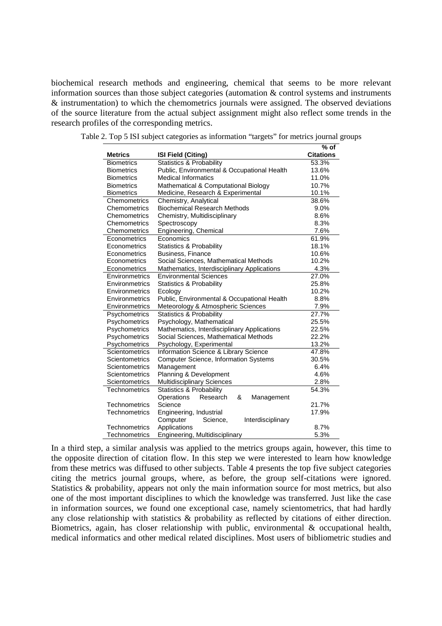biochemical research methods and engineering, chemical that seems to be more relevant information sources than those subject categories (automation & control systems and instruments & instrumentation) to which the chemometrics journals were assigned. The observed deviations of the source literature from the actual subject assignment might also reflect some trends in the research profiles of the corresponding metrics.

|                      |                                              | % of             |
|----------------------|----------------------------------------------|------------------|
| <b>Metrics</b>       | <b>ISI Field (Citing)</b>                    | <b>Citations</b> |
| <b>Biometrics</b>    | <b>Statistics &amp; Probability</b>          | 53.3%            |
| <b>Biometrics</b>    | Public, Environmental & Occupational Health  | 13.6%            |
| <b>Biometrics</b>    | <b>Medical Informatics</b>                   | 11.0%            |
| <b>Biometrics</b>    | Mathematical & Computational Biology         | 10.7%            |
| <b>Biometrics</b>    | Medicine, Research & Experimental            | 10.1%            |
| Chemometrics         | Chemistry, Analytical                        | 38.6%            |
| Chemometrics         | <b>Biochemical Research Methods</b>          | 9.0%             |
| Chemometrics         | Chemistry, Multidisciplinary                 | 8.6%             |
| Chemometrics         | Spectroscopy                                 | 8.3%             |
| Chemometrics         | Engineering, Chemical                        | 7.6%             |
| Econometrics         | Economics                                    | 61.9%            |
| Econometrics         | <b>Statistics &amp; Probability</b>          | 18.1%            |
| Econometrics         | Business, Finance                            | 10.6%            |
| Econometrics         | Social Sciences, Mathematical Methods        | 10.2%            |
| Econometrics         | Mathematics, Interdisciplinary Applications  | 4.3%             |
| Environmetrics       | <b>Environmental Sciences</b>                | 27.0%            |
| Environmetrics       | <b>Statistics &amp; Probability</b>          | 25.8%            |
| Environmetrics       | Ecology                                      | 10.2%            |
| Environmetrics       | Public, Environmental & Occupational Health  | 8.8%             |
| Environmetrics       | Meteorology & Atmospheric Sciences           | 7.9%             |
| Psychometrics        | <b>Statistics &amp; Probability</b>          | 27.7%            |
| Psychometrics        | Psychology, Mathematical                     | 25.5%            |
| Psychometrics        | Mathematics, Interdisciplinary Applications  | 22.5%            |
| Psychometrics        | Social Sciences, Mathematical Methods        | 22.2%            |
| Psychometrics        | Psychology, Experimental                     | 13.2%            |
| Scientometrics       | Information Science & Library Science        | 47.8%            |
| Scientometrics       | <b>Computer Science, Information Systems</b> | 30.5%            |
| Scientometrics       | Management                                   | 6.4%             |
| Scientometrics       | Planning & Development                       | 4.6%             |
| Scientometrics       | <b>Multidisciplinary Sciences</b>            | 2.8%             |
| <b>Technometrics</b> | <b>Statistics &amp; Probability</b>          | 54.3%            |
|                      | Operations<br>Research<br>&<br>Management    |                  |
| Technometrics        | Science                                      | 21.7%            |
| <b>Technometrics</b> | Engineering, Industrial                      | 17.9%            |
|                      | Computer<br>Science,<br>Interdisciplinary    |                  |
| Technometrics        | Applications                                 | 8.7%             |
| <b>Technometrics</b> | Engineering, Multidisciplinary               | 5.3%             |

Table 2. Top 5 ISI subject categories as information "targets" for metrics journal groups

In a third step, a similar analysis was applied to the metrics groups again, however, this time to the opposite direction of citation flow. In this step we were interested to learn how knowledge from these metrics was diffused to other subjects. Table 4 presents the top five subject categories citing the metrics journal groups, where, as before, the group self-citations were ignored. Statistics & probability, appears not only the main information source for most metrics, but also one of the most important disciplines to which the knowledge was transferred. Just like the case in information sources, we found one exceptional case, namely scientometrics, that had hardly any close relationship with statistics & probability as reflected by citations of either direction. Biometrics, again, has closer relationship with public, environmental & occupational health, medical informatics and other medical related disciplines. Most users of bibliometric studies and